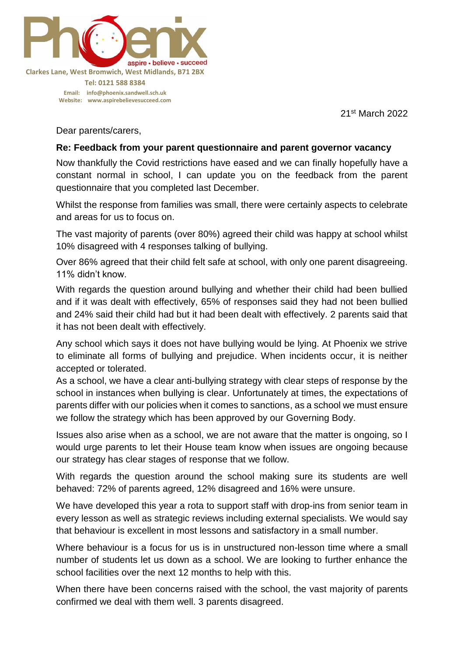

21st March 2022

Dear parents/carers,

## **Re: Feedback from your parent questionnaire and parent governor vacancy**

Now thankfully the Covid restrictions have eased and we can finally hopefully have a constant normal in school, I can update you on the feedback from the parent questionnaire that you completed last December.

Whilst the response from families was small, there were certainly aspects to celebrate and areas for us to focus on.

The vast majority of parents (over 80%) agreed their child was happy at school whilst 10% disagreed with 4 responses talking of bullying.

Over 86% agreed that their child felt safe at school, with only one parent disagreeing. 11% didn't know.

With regards the question around bullying and whether their child had been bullied and if it was dealt with effectively, 65% of responses said they had not been bullied and 24% said their child had but it had been dealt with effectively. 2 parents said that it has not been dealt with effectively.

Any school which says it does not have bullying would be lying. At Phoenix we strive to eliminate all forms of bullying and prejudice. When incidents occur, it is neither accepted or tolerated.

As a school, we have a clear anti-bullying strategy with clear steps of response by the school in instances when bullying is clear. Unfortunately at times, the expectations of parents differ with our policies when it comes to sanctions, as a school we must ensure we follow the strategy which has been approved by our Governing Body.

Issues also arise when as a school, we are not aware that the matter is ongoing, so I would urge parents to let their House team know when issues are ongoing because our strategy has clear stages of response that we follow.

With regards the question around the school making sure its students are well behaved: 72% of parents agreed, 12% disagreed and 16% were unsure.

We have developed this year a rota to support staff with drop-ins from senior team in every lesson as well as strategic reviews including external specialists. We would say that behaviour is excellent in most lessons and satisfactory in a small number.

Where behaviour is a focus for us is in unstructured non-lesson time where a small number of students let us down as a school. We are looking to further enhance the school facilities over the next 12 months to help with this.

When there have been concerns raised with the school, the vast majority of parents confirmed we deal with them well. 3 parents disagreed.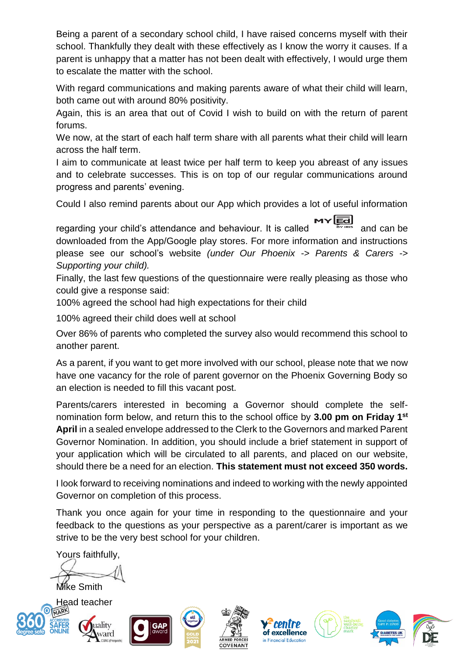Being a parent of a secondary school child, I have raised concerns myself with their school. Thankfully they dealt with these effectively as I know the worry it causes. If a parent is unhappy that a matter has not been dealt with effectively, I would urge them to escalate the matter with the school.

With regard communications and making parents aware of what their child will learn, both came out with around 80% positivity.

Again, this is an area that out of Covid I wish to build on with the return of parent forums.

We now, at the start of each half term share with all parents what their child will learn across the half term.

I aim to communicate at least twice per half term to keep you abreast of any issues and to celebrate successes. This is on top of our regular communications around progress and parents' evening.

Could I also remind parents about our App which provides a lot of useful information

MYĒ. regarding your child's attendance and behaviour. It is called  $\overline{a}$ downloaded from the App/Google play stores. For more information and instructions please see our school's website *(under Our Phoenix -> Parents & Carers -> Supporting your child).*

Finally, the last few questions of the questionnaire were really pleasing as those who could give a response said:

100% agreed the school had high expectations for their child

100% agreed their child does well at school

Over 86% of parents who completed the survey also would recommend this school to another parent.

As a parent, if you want to get more involved with our school, please note that we now have one vacancy for the role of parent governor on the Phoenix Governing Body so an election is needed to fill this vacant post.

Parents/carers interested in becoming a Governor should complete the selfnomination form below, and return this to the school office by **3.00 pm on Friday 1 st April** in a sealed envelope addressed to the Clerk to the Governors and marked Parent Governor Nomination. In addition, you should include a brief statement in support of your application which will be circulated to all parents, and placed on our website, should there be a need for an election. **This statement must not exceed 350 words.**

I look forward to receiving nominations and indeed to working with the newly appointed Governor on completion of this process.

Thank you once again for your time in responding to the questionnaire and your feedback to the questions as your perspective as a parent/carer is important as we strive to be the very best school for your children.

Yours faithfully,

Mike Smith